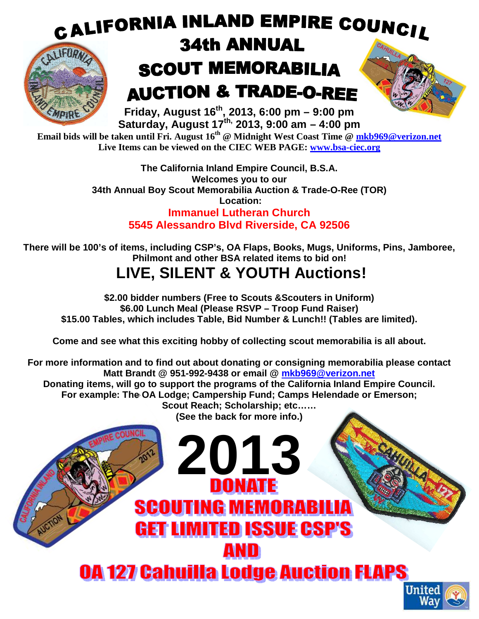## CALIFORNIA INLAND EMPIRE COUNCIL **34th ANNUAL IEUPA SCOUT MEMORABILIA AUCTION & TRADE-O-REE Friday, August 16th, 2013, 6:00 pm – 9:00 pm**

**Saturday, August 17th, 2013, 9:00 am – 4:00 pm Email bids will be taken until Fri. August 16th @ Midnight West Coast Time @ mkb969@verizon.net** 

**Live Items can be viewed on the CIEC WEB PAGE: www.bsa-ciec.org** 

**The California Inland Empire Council, B.S.A. Welcomes you to our 34th Annual Boy Scout Memorabilia Auction & Trade-O-Ree (TOR) Location: Immanuel Lutheran Church 5545 Alessandro Blvd Riverside, CA 92506** 

**There will be 100's of items, including CSP's, OA Flaps, Books, Mugs, Uniforms, Pins, Jamboree, Philmont and other BSA related items to bid on!** 

## **LIVE, SILENT & YOUTH Auctions!**

**\$2.00 bidder numbers (Free to Scouts &Scouters in Uniform) \$6.00 Lunch Meal (Please RSVP – Troop Fund Raiser) \$15.00 Tables, which includes Table, Bid Number & Lunch!! (Tables are limited).** 

**Come and see what this exciting hobby of collecting scout memorabilia is all about.** 

**For more information and to find out about donating or consigning memorabilia please contact Matt Brandt @ 951-992-9438 or email @ mkb969@verizon.net Donating items, will go to support the programs of the California Inland Empire Council. For example: The OA Lodge; Campership Fund; Camps Helendade or Emerson; Scout Reach; Scholarship; etc…… (See the back for more info.) 2013SCOUTING MEMORABILIA** 

**GET LIMITED ISSUE CSP'S** 

**0A 127 Cahuilla Lodge Auction FLAPS** 

AND